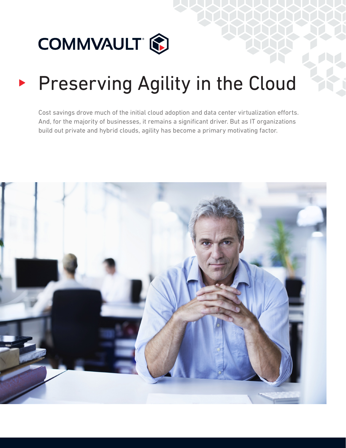

# Preserving Agility in the Cloud

Cost savings drove much of the initial cloud adoption and data center virtualization efforts. And, for the majority of businesses, it remains a significant driver. But as IT organizations build out private and hybrid clouds, agility has become a primary motivating factor.

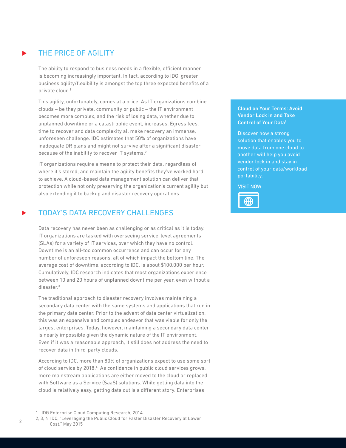## THE PRICE OF AGILITY

The ability to respond to business needs in a flexible, efficient manner is becoming increasingly important. In fact, according to IDG, greater business agility/flexibility is amongst the top three expected benefits of a private cloud.<sup>1</sup>

This agility, unfortunately, comes at a price. As IT organizations combine clouds – be they private, community or public – the IT environment becomes more complex, and the risk of losing data, whether due to unplanned downtime or a catastrophic event, increases. Egress fees, time to recover and data complexity all make recovery an immense, unforeseen challenge. IDC estimates that 50% of organizations have inadequate DR plans and might not survive after a significant disaster because of the inability to recover IT systems.<sup>2</sup>

IT organizations require a means to protect their data, regardless of where it's stored, and maintain the agility benefits they've worked hard to achieve. A cloud-based data management solution can deliver that protection while not only preserving the organization's current agility but also extending it to backup and disaster recovery operations.

## TODAY'S DATA RECOVERY CHALLENGES

Data recovery has never been as challenging or as critical as it is today. IT organizations are tasked with overseeing service-level agreements (SLAs) for a variety of IT services, over which they have no control. Downtime is an all-too common occurrence and can occur for any number of unforeseen reasons, all of which impact the bottom line. The average cost of downtime, according to IDC, is about \$100,000 per hour. Cumulatively, IDC research indicates that most organizations experience between 10 and 20 hours of unplanned downtime per year, even without a disaster.3

The traditional approach to disaster recovery involves maintaining a secondary data center with the same systems and applications that run in the primary data center. Prior to the advent of data center virtualization, this was an expensive and complex endeavor that was viable for only the largest enterprises. Today, however, maintaining a secondary data center is nearly impossible given the dynamic nature of the IT environment. Even if it was a reasonable approach, it still does not address the need to recover data in third-party clouds.

According to IDC, more than 80% of organizations expect to use some sort of cloud service by 2018.<sup>4</sup> As confidence in public cloud services grows, more mainstream applications are either moved to the cloud or replaced with Software as a Service (SaaS) solutions. While getting data into the cloud is relatively easy, getting data out is a different story. Enterprises

#### 1 IDG Enterprise Cloud Computing Research, 2014

2, 3, 4 IDC, "Leveraging the Public Cloud for Faster Disaster Recovery at Lower Cost," May 2015

#### [Cloud on Your Terms: Avoid](http://www.commvault.com/no-vendor-lock-in?ref=70140000001279H&utm_source=techtarget&utm_medium=essentials-guide-link&utm_campaign=no-vendor-lock-in)  [Vendor Lock in and Take](http://www.commvault.com/no-vendor-lock-in?ref=70140000001279H&utm_source=techtarget&utm_medium=essentials-guide-link&utm_campaign=no-vendor-lock-in)  [Control of Your Datai](http://www.commvault.com/no-vendor-lock-in?ref=70140000001279H&utm_source=techtarget&utm_medium=essentials-guide-link&utm_campaign=no-vendor-lock-in)

Discover how a strong solution that enables you to move data from one cloud to another will help you avoid vendor lock in and stay in control of your data/workload portability.

**VISIT NOW** 

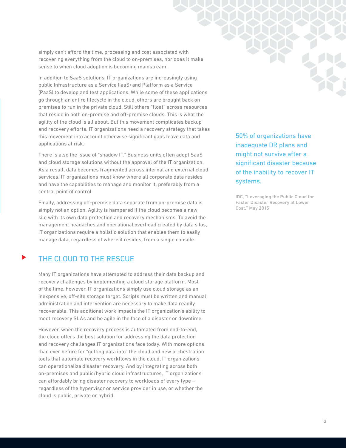simply can't afford the time, processing and cost associated with recovering everything from the cloud to on-premises, nor does it make sense to when cloud adoption is becoming mainstream.

In addition to SaaS solutions, IT organizations are increasingly using public Infrastructure as a Service (IaaS) and Platform as a Service (PaaS) to develop and test applications. While some of these applications go through an entire lifecycle in the cloud, others are brought back on premises to run in the private cloud. Still others "float" across resources that reside in both on-premise and off-premise clouds. This is what the agility of the cloud is all about. But this movement complicates backup and recovery efforts. IT organizations need a recovery strategy that takes this movement into account otherwise significant gaps leave data and applications at risk.

There is also the issue of "shadow IT." Business units often adopt SaaS and cloud storage solutions without the approval of the IT organization. As a result, data becomes fragmented across internal and external cloud services. IT organizations must know where all corporate data resides and have the capabilities to manage and monitor it, preferably from a central point of control.

Finally, addressing off-premise data separate from on-premise data is simply not an option. Agility is hampered if the cloud becomes a new silo with its own data protection and recovery mechanisms. To avoid the management headaches and operational overhead created by data silos, IT organizations require a holistic solution that enables them to easily manage data, regardless of where it resides, from a single console.

## THE CLOUD TO THE RESCUE

Many IT organizations have attempted to address their data backup and recovery challenges by implementing a cloud storage platform. Most of the time, however, IT organizations simply use cloud storage as an inexpensive, off-site storage target. Scripts must be written and manual administration and intervention are necessary to make data readily recoverable. This additional work impacts the IT organization's ability to meet recovery SLAs and be agile in the face of a disaster or downtime.

However, when the recovery process is automated from end-to-end, the cloud offers the best solution for addressing the data protection and recovery challenges IT organizations face today. With more options than ever before for "getting data into" the cloud and new orchestration tools that automate recovery workflows in the cloud, IT organizations can operationalize disaster recovery. And by integrating across both on-premises and public/hybrid cloud infrastructures, IT organizations can affordably bring disaster recovery to workloads of every type – regardless of the hypervisor or service provider in use, or whether the cloud is public, private or hybrid.

50% of organizations have inadequate DR plans and might not survive after a significant disaster because of the inability to recover IT systems.

IDC, "Leveraging the Public Cloud for Faster Disaster Recovery at Lower Cost," May 2015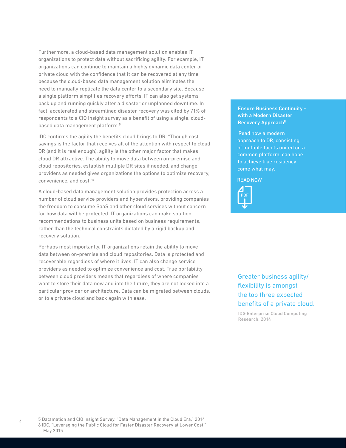Furthermore, a cloud-based data management solution enables IT organizations to protect data without sacrificing agility. For example, IT organizations can continue to maintain a highly dynamic data center or private cloud with the confidence that it can be recovered at any time because the cloud-based data management solution eliminates the need to manually replicate the data center to a secondary site. Because a single platform simplifies recovery efforts, IT can also get systems back up and running quickly after a disaster or unplanned downtime. In fact, accelerated and streamlined disaster recovery was cited by 71% of respondents to a CIO Insight survey as a benefit of using a single, cloudbased data management platform.5

IDC confirms the agility the benefits cloud brings to DR: "Though cost savings is the factor that receives all of the attention with respect to cloud DR (and it is real enough), agility is the other major factor that makes cloud DR attractive. The ability to move data between on-premise and cloud repositories, establish multiple DR sites if needed, and change providers as needed gives organizations the options to optimize recovery, convenience, and cost."6

A cloud-based data management solution provides protection across a number of cloud service providers and hypervisors, providing companies the freedom to consume SaaS and other cloud services without concern for how data will be protected. IT organizations can make solution recommendations to business units based on business requirements, rather than the technical constraints dictated by a rigid backup and recovery solution.

Perhaps most importantly, IT organizations retain the ability to move data between on-premise and cloud repositories. Data is protected and recoverable regardless of where it lives. IT can also change service providers as needed to optimize convenience and cost. True portability between cloud providers means that regardless of where companies want to store their data now and into the future, they are not locked into a particular provider or architecture. Data can be migrated between clouds, or to a private cloud and back again with ease.

#### [Ensure Business Continuity](http://www.commvault.com/resource-library/55a90670a2588562a1000085/ensure-business-continuity-with-a-modern-disaster-recovery-approach.pdf)  [with a Modern Disaster](http://www.commvault.com/resource-library/55a90670a2588562a1000085/ensure-business-continuity-with-a-modern-disaster-recovery-approach.pdf)  Recovery Approach<sup>ii</sup>

 Read how a modern approach to DR, consisting of multiple facets united on a common platform, can hope to achieve true resiliency come what may.

**READ NOW** 



#### Greater business agility/ flexibility is amongst the top three expected benefits of a private cloud.

IDG Enterprise Cloud Computing Research, 2014

5 Datamation and CIO Insight Survey, "Data Management in the Cloud Era," 2014 6 IDC, "Leveraging the Public Cloud for Faster Disaster Recovery at Lower Cost," May 2015